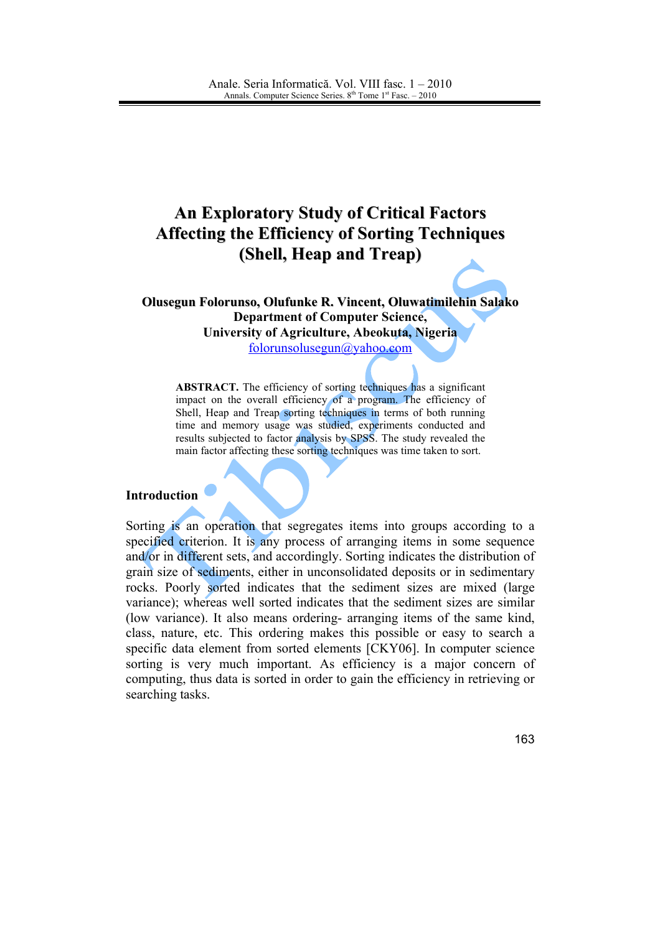# **An Exploratory Study of Critical Factors Affecting the Efficiency of Sorting Techniques** (Shell, Heap and Treap)

Olusegun Folorunso, Olufunke R. Vincent, Oluwatimilehin Salako **Department of Computer Science,** University of Agriculture, Abeokuta, Nigeria folorunsolusegun@yahoo.com

**ABSTRACT.** The efficiency of sorting techniques has a significant impact on the overall efficiency of a program. The efficiency of Shell, Heap and Treap sorting techniques in terms of both running time and memory usage was studied, experiments conducted and results subjected to factor analysis by SPSS. The study revealed the main factor affecting these sorting techniques was time taken to sort.

## **Introduction**

Sorting is an operation that segregates items into groups according to a specified criterion. It is any process of arranging items in some sequence and/or in different sets, and accordingly. Sorting indicates the distribution of grain size of sediments, either in unconsolidated deposits or in sedimentary rocks. Poorly sorted indicates that the sediment sizes are mixed (large variance); whereas well sorted indicates that the sediment sizes are similar (low variance). It also means ordering-arranging items of the same kind, class, nature, etc. This ordering makes this possible or easy to search a specific data element from sorted elements [CKY06]. In computer science sorting is very much important. As efficiency is a major concern of computing, thus data is sorted in order to gain the efficiency in retrieving or searching tasks.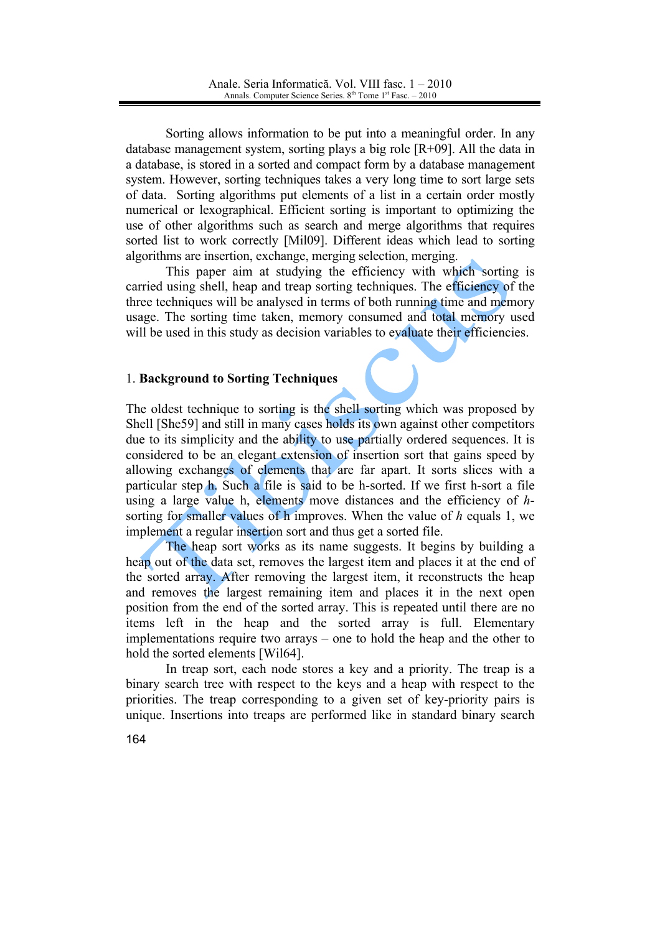Sorting allows information to be put into a meaningful order. In any database management system, sorting plays a big role  $[R+09]$ . All the data in a database, is stored in a sorted and compact form by a database management system. However, sorting techniques takes a very long time to sort large sets of data. Sorting algorithms put elements of a list in a certain order mostly numerical or lexographical. Efficient sorting is important to optimizing the use of other algorithms such as search and merge algorithms that requires sorted list to work correctly [Mil09]. Different ideas which lead to sorting algorithms are insertion, exchange, merging selection, merging.

This paper aim at studying the efficiency with which sorting is carried using shell, heap and treap sorting techniques. The efficiency of the three techniques will be analysed in terms of both running time and memory usage. The sorting time taken, memory consumed and total memory used will be used in this study as decision variables to evaluate their efficiencies.

## 1. Background to Sorting Techniques

The oldest technique to sorting is the shell sorting which was proposed by Shell [She59] and still in many cases holds its own against other competitors due to its simplicity and the ability to use partially ordered sequences. It is considered to be an elegant extension of insertion sort that gains speed by allowing exchanges of elements that are far apart. It sorts slices with a particular step h. Such a file is said to be h-sorted. If we first h-sort a file using a large value h, elements move distances and the efficiency of  $h$ sorting for smaller values of h improves. When the value of h equals 1, we implement a regular insertion sort and thus get a sorted file.

The heap sort works as its name suggests. It begins by building a heap out of the data set, removes the largest item and places it at the end of the sorted array. After removing the largest item, it reconstructs the heap and removes the largest remaining item and places it in the next open position from the end of the sorted array. This is repeated until there are no items left in the heap and the sorted array is full. Elementary implementations require two arrays – one to hold the heap and the other to hold the sorted elements [Wil64].

In treap sort, each node stores a key and a priority. The treap is a binary search tree with respect to the keys and a heap with respect to the priorities. The treap corresponding to a given set of key-priority pairs is unique. Insertions into treaps are performed like in standard binary search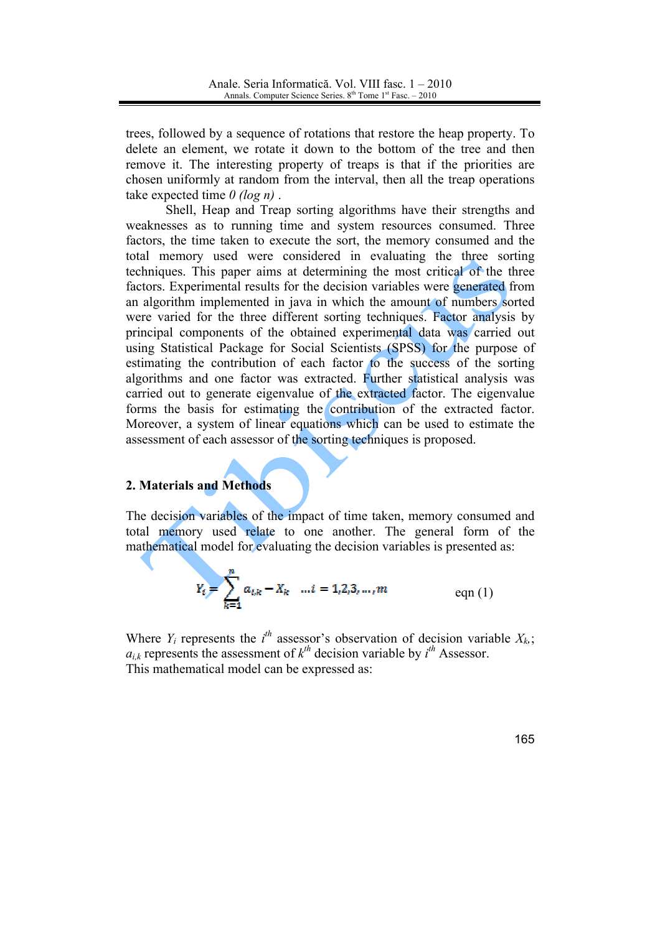trees, followed by a sequence of rotations that restore the heap property. To delete an element, we rotate it down to the bottom of the tree and then remove it. The interesting property of treaps is that if the priorities are chosen uniformly at random from the interval, then all the treap operations take expected time  $\theta$  (log n).

Shell, Heap and Treap sorting algorithms have their strengths and weaknesses as to running time and system resources consumed. Three factors, the time taken to execute the sort, the memory consumed and the total memory used were considered in evaluating the three sorting techniques. This paper aims at determining the most critical of the three factors. Experimental results for the decision variables were generated from an algorithm implemented in java in which the amount of numbers sorted were varied for the three different sorting techniques. Factor analysis by principal components of the obtained experimental data was carried out using Statistical Package for Social Scientists (SPSS) for the purpose of estimating the contribution of each factor to the success of the sorting algorithms and one factor was extracted. Further statistical analysis was carried out to generate eigenvalue of the extracted factor. The eigenvalue forms the basis for estimating the contribution of the extracted factor. Moreover, a system of linear equations which can be used to estimate the assessment of each assessor of the sorting techniques is proposed.

## 2. Materials and Methods

The decision variables of the impact of time taken, memory consumed and total memory used relate to one another. The general form of the mathematical model for evaluating the decision variables is presented as:

$$
Y_i = \sum_{k=1}^{n} a_{i,k} - X_k \quad \dots i = 1,2,3,\dots,m \quad \text{eqn (1)}
$$

Where  $Y_i$  represents the  $i^{th}$  assessor's observation of decision variable  $X_k$ ;  $a_{i,k}$  represents the assessment of  $k^{th}$  decision variable by  $i^{th}$  Assessor. This mathematical model can be expressed as: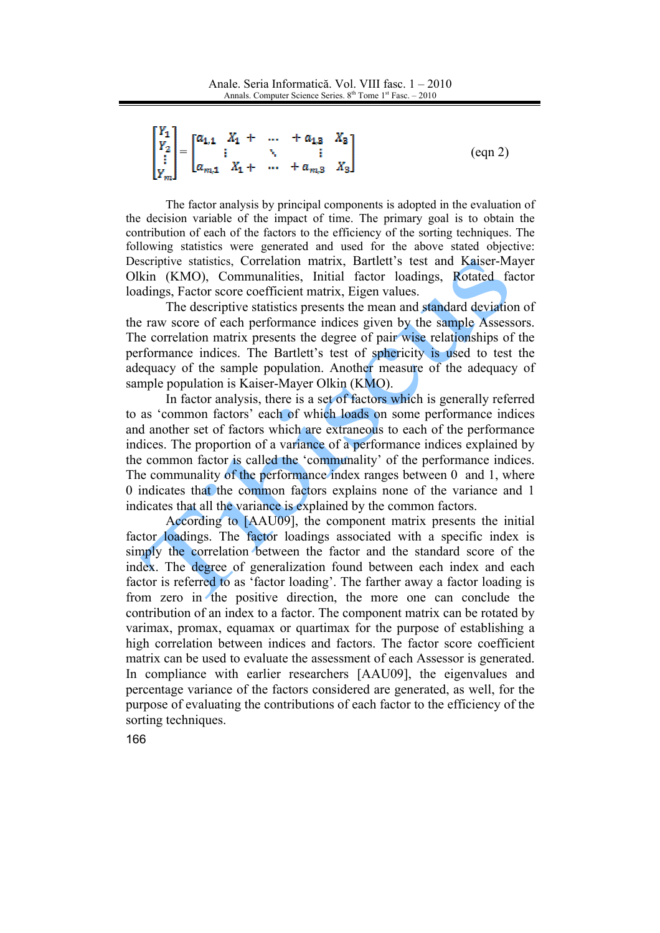```
\begin{bmatrix} Y_1 \\ Y_2 \\ \vdots \\ Y_m \end{bmatrix} = \begin{bmatrix} a_{1,1} & X_1 + & \dots & + a_{1,3} & X_3 \\ \vdots & \ddots & \vdots & \vdots \\ a_{m,1} & X_1 + & \dots & + a_{m,3} & X_3 \end{bmatrix}(ean 2)
```
The factor analysis by principal components is adopted in the evaluation of the decision variable of the impact of time. The primary goal is to obtain the contribution of each of the factors to the efficiency of the sorting techniques. The following statistics were generated and used for the above stated objective: Descriptive statistics. Correlation matrix. Bartlett's test and Kaiser-Mayer Olkin (KMO), Communalities, Initial factor loadings, Rotated factor loadings, Factor score coefficient matrix, Eigen values.

The descriptive statistics presents the mean and standard deviation of the raw score of each performance indices given by the sample Assessors. The correlation matrix presents the degree of pair wise relationships of the performance indices. The Bartlett's test of sphericity is used to test the adequacy of the sample population. Another measure of the adequacy of sample population is Kaiser-Mayer Olkin (KMO).

In factor analysis, there is a set of factors which is generally referred to as 'common factors' each of which loads on some performance indices and another set of factors which are extraneous to each of the performance indices. The proportion of a variance of a performance indices explained by the common factor is called the 'communality' of the performance indices. The communality of the performance index ranges between 0 and 1, where 0 indicates that the common factors explains none of the variance and 1 indicates that all the variance is explained by the common factors.

According to [AAU09], the component matrix presents the initial factor loadings. The factor loadings associated with a specific index is simply the correlation between the factor and the standard score of the index. The degree of generalization found between each index and each factor is referred to as 'factor loading'. The farther away a factor loading is from zero in the positive direction, the more one can conclude the contribution of an index to a factor. The component matrix can be rotated by varimax, promax, equamax or quartimax for the purpose of establishing a high correlation between indices and factors. The factor score coefficient matrix can be used to evaluate the assessment of each Assessor is generated. In compliance with earlier researchers [AAU09], the eigenvalues and percentage variance of the factors considered are generated, as well, for the purpose of evaluating the contributions of each factor to the efficiency of the sorting techniques.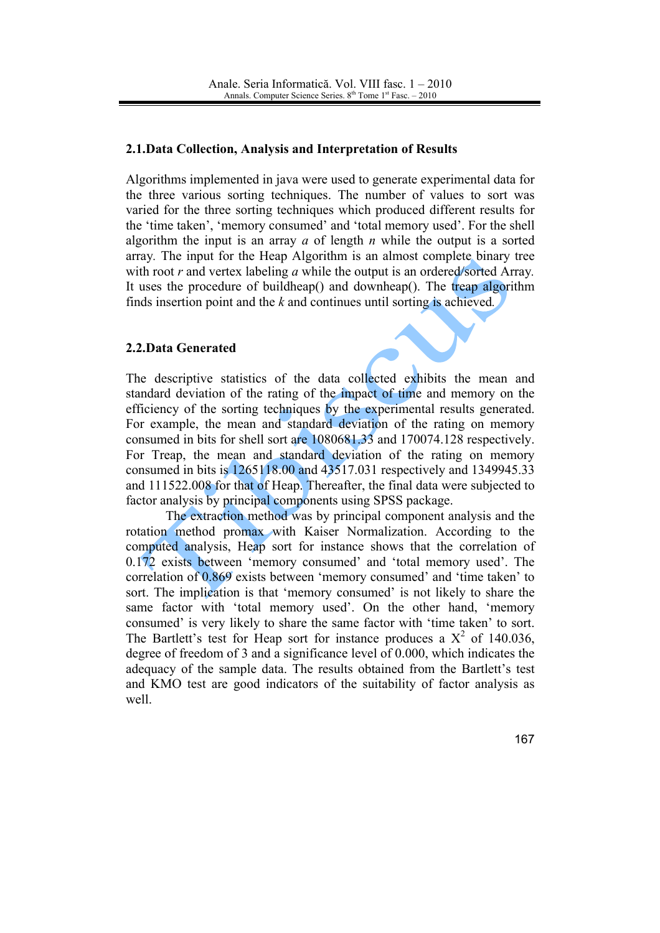## 2.1. Data Collection, Analysis and Interpretation of Results

Algorithms implemented in java were used to generate experimental data for the three various sorting techniques. The number of values to sort was varied for the three sorting techniques which produced different results for the 'time taken', 'memory consumed' and 'total memory used'. For the shell algorithm the input is an array  $a$  of length  $n$  while the output is a sorted array. The input for the Heap Algorithm is an almost complete binary tree with root  $r$  and vertex labeling  $a$  while the output is an ordered/sorted Array. It uses the procedure of buildheap() and downheap(). The treap algorithm finds insertion point and the  $k$  and continues until sorting is achieved.

## 2.2. Data Generated

The descriptive statistics of the data collected exhibits the mean and standard deviation of the rating of the impact of time and memory on the efficiency of the sorting techniques by the experimental results generated. For example, the mean and standard deviation of the rating on memory consumed in bits for shell sort are 1080681.33 and 170074.128 respectively. For Treap, the mean and standard deviation of the rating on memory consumed in bits is 1265118.00 and 43517.031 respectively and 1349945.33 and 111522.008 for that of Heap. Thereafter, the final data were subjected to factor analysis by principal components using SPSS package.

The extraction method was by principal component analysis and the rotation method promax with Kaiser Normalization. According to the computed analysis, Heap sort for instance shows that the correlation of 0.172 exists between 'memory consumed' and 'total memory used'. The correlation of 0.869 exists between 'memory consumed' and 'time taken' to sort. The implication is that 'memory consumed' is not likely to share the same factor with 'total memory used'. On the other hand, 'memory consumed' is very likely to share the same factor with 'time taken' to sort. The Bartlett's test for Heap sort for instance produces a  $X^2$  of 140.036. degree of freedom of 3 and a significance level of 0.000, which indicates the adequacy of the sample data. The results obtained from the Bartlett's test and KMO test are good indicators of the suitability of factor analysis as well.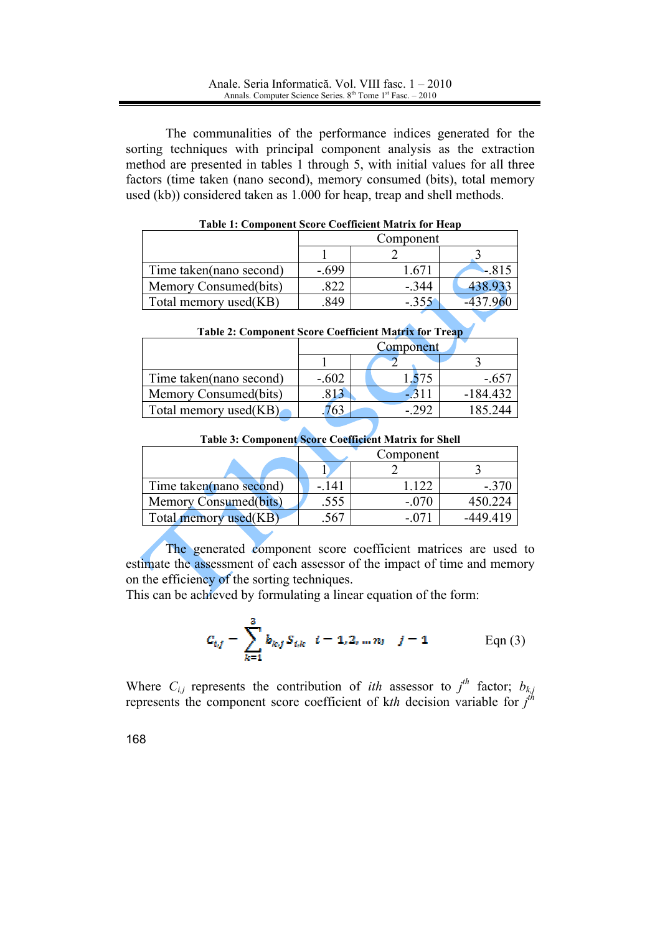The communalities of the performance indices generated for the sorting techniques with principal component analysis as the extraction method are presented in tables 1 through 5, with initial values for all three factors (time taken (nano second), memory consumed (bits), total memory used (kb)) considered taken as 1.000 for heap, treap and shell methods.

|                         | Component |         |         |  |
|-------------------------|-----------|---------|---------|--|
|                         |           |         |         |  |
| Time taken(nano second) | $-.699$   | 1.67    | $-815$  |  |
| Memory Consumed(bits)   |           | $-.344$ | 438.93. |  |
| Total memory used(KB)   | 849       | $-.355$ |         |  |

**Table 1: Component Score Coefficient Matrix for Heap** 

| <b>Table 2: Component Score Coefficient Matrix for Treap</b> |           |                 |            |  |
|--------------------------------------------------------------|-----------|-----------------|------------|--|
|                                                              | Component |                 |            |  |
|                                                              |           |                 |            |  |
| Time taken(nano second)                                      | $-.602$   | .575            | $-.657$    |  |
| Memory Consumed(bits)                                        | .813      | $\triangle 311$ | $-184.432$ |  |
| Total memory used(KB)                                        | 63        | - 292           | 185.244    |  |

**Table 3: Component Score Coefficient Matrix for Shell** 

|                         | Component |       |          |  |  |
|-------------------------|-----------|-------|----------|--|--|
|                         |           |       |          |  |  |
| Time taken(nano second) | - 141     | 122   | $-.370$  |  |  |
| Memory Consumed(bits)   | .555      | - 070 | 450 224  |  |  |
| Total memory used(KB)   |           |       | -449 419 |  |  |

The generated component score coefficient matrices are used to estimate the assessment of each assessor of the impact of time and memory on the efficiency of the sorting techniques.

This can be achieved by formulating a linear equation of the form:

$$
c_{i,j} = \sum_{k=1}^{3} b_{k,j} S_{i,k} \quad i = 1, 2, ..., n; \quad j = 1
$$
 Eqn (3)

Where  $C_{i,j}$  represents the contribution of *ith* assessor to  $j^{th}$  factor;  $b_{k,j}$  represents the component score coefficient of *kth* decision variable for  $j^{th}$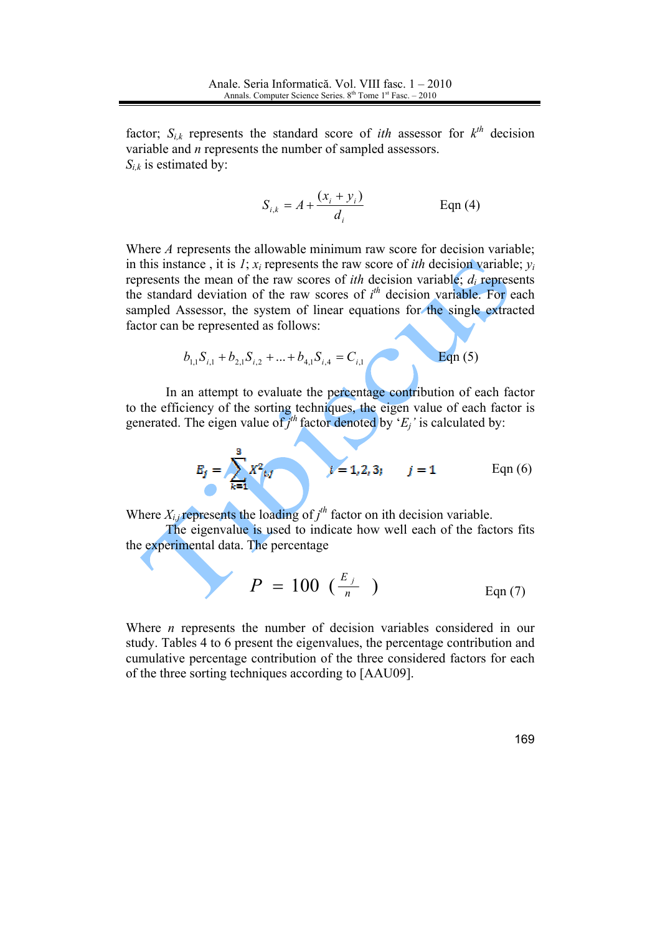factor;  $S_{i,k}$  represents the standard score of *ith* assessor for  $k^{th}$  decision variable and  $n$  represents the number of sampled assessors.  $S_{ik}$  is estimated by:

$$
S_{i,k} = A + \frac{(x_i + y_i)}{d_i}
$$
 Eqn (4)

Where A represents the allowable minimum raw score for decision variable; in this instance, it is 1;  $x_i$  represents the raw score of *ith* decision variable;  $y_i$ represents the mean of the raw scores of *ith* decision variable;  $d_i$  represents the standard deviation of the raw scores of  $i<sup>th</sup>$  decision variable. For each sampled Assessor, the system of linear equations for the single extracted factor can be represented as follows:

$$
b_{1,1}S_{i,1} + b_{2,1}S_{i,2} + ... + b_{4,1}S_{i,4} = C_{i,1}
$$
 Eqn (5)

In an attempt to evaluate the percentage contribution of each factor to the efficiency of the sorting techniques, the eigen value of each factor is generated. The eigen value of  $j^{th}$  factor denoted by ' $E_j$ ' is calculated by:

$$
E_j = \sum_{k=1}^{3} X^2_{i,j} \qquad j = 1, 2, 3; \qquad j = 1 \qquad \text{Eqn (6)}
$$

Where  $X_{i,j}$  represents the loading of  $j^{th}$  factor on ith decision variable.

The eigenvalue is used to indicate how well each of the factors fits the experimental data. The percentage

$$
P = 100 \left( \frac{E_j}{n} \right) \qquad \text{Eqn (7)}
$$

Where  $n$  represents the number of decision variables considered in our study. Tables 4 to 6 present the eigenvalues, the percentage contribution and cumulative percentage contribution of the three considered factors for each of the three sorting techniques according to [AAU09].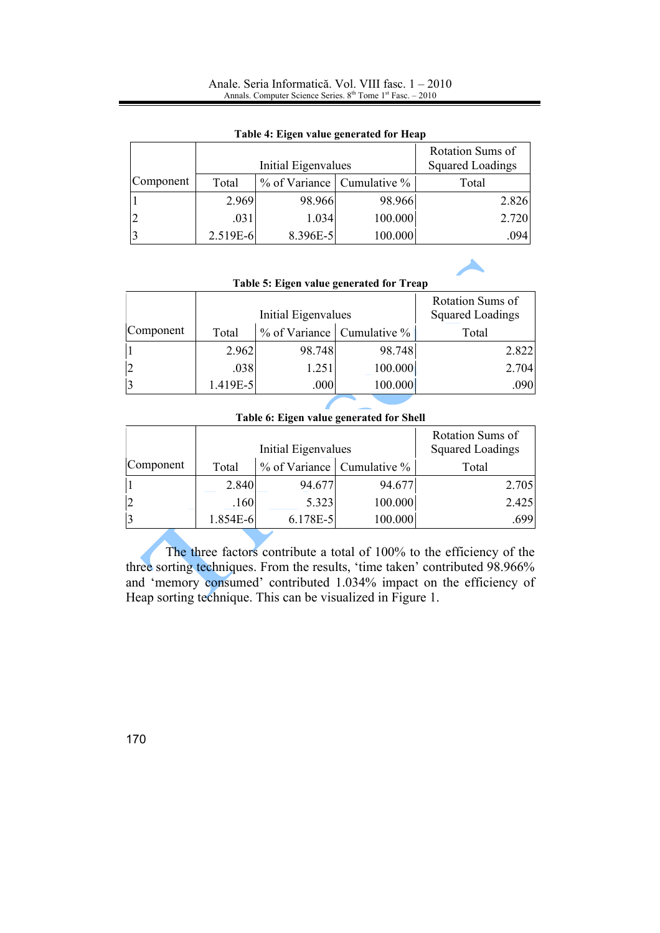#### Anale. Seria Informatică. Vol. VIII fasc. 1 - 2010 Annals. Computer Science Series.  $8<sup>th</sup>$  Tome  $1<sup>st</sup>$  Fasc.  $-2010$

|           | Initial Eigenvalues |          |                            | Rotation Sums of<br><b>Squared Loadings</b> |
|-----------|---------------------|----------|----------------------------|---------------------------------------------|
| Component | Total               |          | % of Variance Cumulative % | Total                                       |
|           | 2.969               | 98.966   | 98.966                     | 2.826                                       |
|           | .031                | 1.034    | 100.000                    | 2.720                                       |
|           | 2.519E-6            | 8.396E-5 | 100.000                    | .094                                        |

#### Table 4: Eigen value generated for Heap

| Table 5: Eigen value generated for Treap |                     |        |                                  |                                             |
|------------------------------------------|---------------------|--------|----------------------------------|---------------------------------------------|
|                                          | Initial Eigenvalues |        |                                  | Rotation Sums of<br><b>Squared Loadings</b> |
| Component                                | Total               |        | $\%$ of Variance Cumulative $\%$ | Total                                       |
|                                          | 2.962               | 98.748 | 98.748                           | 2.822                                       |
| $\overline{2}$                           | .038                | 1.251  | 100.000                          | 2.704                                       |
| $\overline{3}$                           | 1.419E-5            | .000   | 100.000                          | .090                                        |

## Table 6: Eigen value generated for Shell

|           | Initial Eigenvalues |            |                            | Rotation Sums of<br><b>Squared Loadings</b> |
|-----------|---------------------|------------|----------------------------|---------------------------------------------|
| Component | Total               |            | % of Variance Cumulative % | Total                                       |
|           | 2.840               | 94.677     | 94.677                     | 2.705                                       |
| 12        | .160                | 5.323      | 100.000                    | 2.425                                       |
| 13        | 1.854E-6            | $6.178E-5$ | 100.000                    | .699                                        |

The three factors contribute a total of 100% to the efficiency of the three sorting techniques. From the results, 'time taken' contributed 98.966% and 'memory consumed' contributed 1.034% impact on the efficiency of Heap sorting technique. This can be visualized in Figure 1.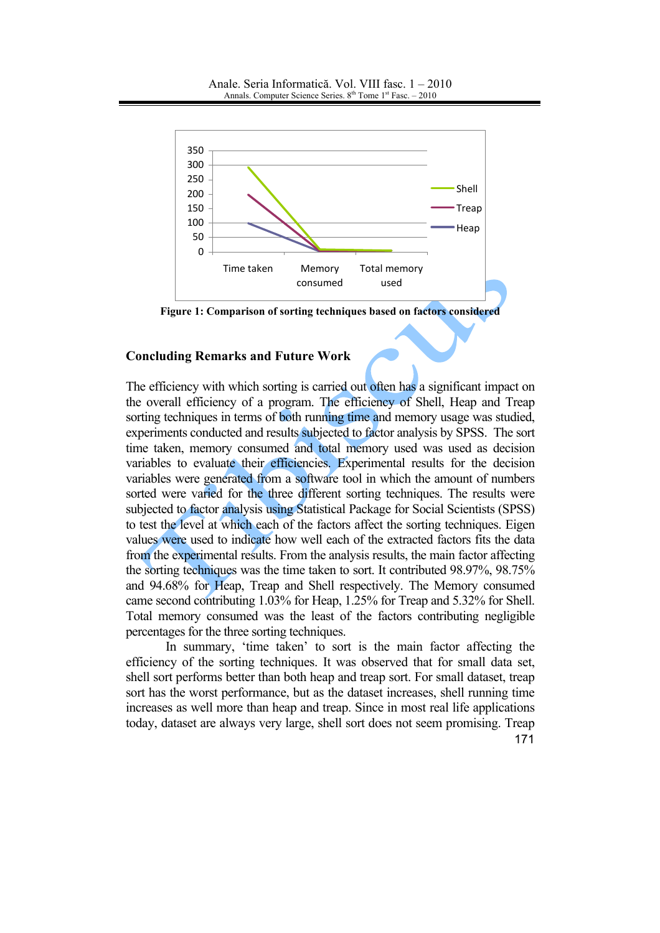

Figure 1: Comparison of sorting techniques based on factors considered

### **Concluding Remarks and Future Work**

The efficiency with which sorting is carried out often has a significant impact on the overall efficiency of a program. The efficiency of Shell, Heap and Treap sorting techniques in terms of both running time and memory usage was studied, experiments conducted and results subjected to factor analysis by SPSS. The sort time taken, memory consumed and total memory used was used as decision variables to evaluate their efficiencies. Experimental results for the decision variables were generated from a software tool in which the amount of numbers sorted were varied for the three different sorting techniques. The results were subjected to factor analysis using Statistical Package for Social Scientists (SPSS) to test the level at which each of the factors affect the sorting techniques. Eigen values were used to indicate how well each of the extracted factors fits the data from the experimental results. From the analysis results, the main factor affecting the sorting techniques was the time taken to sort. It contributed 98.97%, 98.75% and 94.68% for Heap, Treap and Shell respectively. The Memory consumed came second contributing 1.03% for Heap, 1.25% for Treap and 5.32% for Shell. Total memory consumed was the least of the factors contributing negligible percentages for the three sorting techniques.

In summary, 'time taken' to sort is the main factor affecting the efficiency of the sorting techniques. It was observed that for small data set, shell sort performs better than both heap and treap sort. For small dataset, treap sort has the worst performance, but as the dataset increases, shell running time increases as well more than heap and treap. Since in most real life applications today, dataset are always very large, shell sort does not seem promising. Treap 171